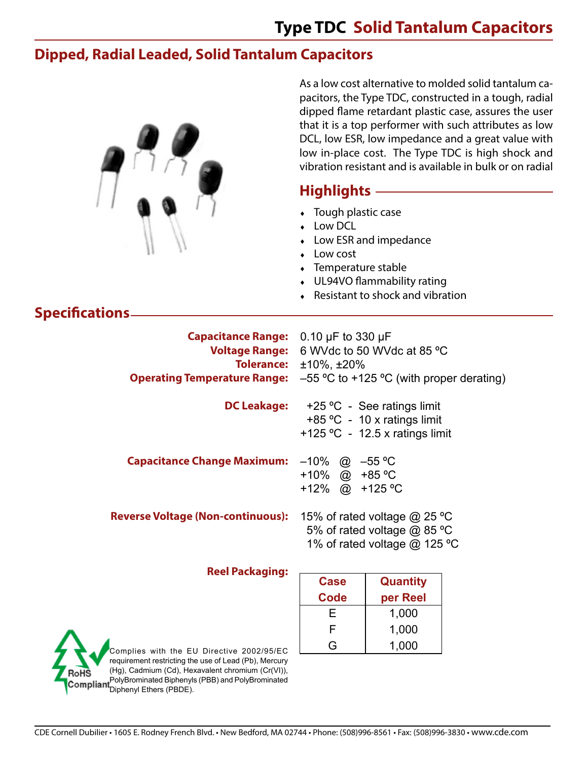### **Type TDC Solid Tantalum Capacitors**

As a low cost alternative to molded solid tantalum ca-

### **Dipped, Radial Leaded, Solid Tantalum Capacitors**

|                                                                                                                           | pacitors, the Type TDC, constructed in a tough, radial<br>dipped flame retardant plastic case, assures the user<br>that it is a top performer with such attributes as low<br>DCL, low ESR, low impedance and a great value with<br>low in-place cost. The Type TDC is high shock and<br>vibration resistant and is available in bulk or on radial |                                                                                             |  |  |  |  |
|---------------------------------------------------------------------------------------------------------------------------|---------------------------------------------------------------------------------------------------------------------------------------------------------------------------------------------------------------------------------------------------------------------------------------------------------------------------------------------------|---------------------------------------------------------------------------------------------|--|--|--|--|
|                                                                                                                           | Highlights -                                                                                                                                                                                                                                                                                                                                      |                                                                                             |  |  |  |  |
|                                                                                                                           | • Tough plastic case<br>Low DCL<br>Low ESR and impedance<br>Low cost<br>• Temperature stable<br>• UL94VO flammability rating<br>• Resistant to shock and vibration                                                                                                                                                                                |                                                                                             |  |  |  |  |
| <b>Specifications</b>                                                                                                     |                                                                                                                                                                                                                                                                                                                                                   |                                                                                             |  |  |  |  |
| Capacitance Range: 0.10 µF to 330 µF<br><b>Voltage Range:</b><br><b>Tolerance:</b><br><b>Operating Temperature Range:</b> | 6 WVdc to 50 WVdc at 85 °C<br>$±10\%$ , $±20\%$<br>$-55$ °C to +125 °C (with proper derating)                                                                                                                                                                                                                                                     |                                                                                             |  |  |  |  |
| <b>DC Leakage:</b>                                                                                                        | +25 °C - See ratings limit<br>+85 °C - 10 x ratings limit<br>+125 °C - 12.5 x ratings limit                                                                                                                                                                                                                                                       |                                                                                             |  |  |  |  |
| <b>Capacitance Change Maximum:</b>                                                                                        | $-10\%$ @ $-55\,^{\circ}\text{C}$<br>+10% @ +85 °C<br>+12% @ +125 °C                                                                                                                                                                                                                                                                              |                                                                                             |  |  |  |  |
| <b>Reverse Voltage (Non-continuous):</b>                                                                                  |                                                                                                                                                                                                                                                                                                                                                   | 15% of rated voltage @ 25 °C<br>5% of rated voltage @ 85 °C<br>1% of rated voltage @ 125 °C |  |  |  |  |
| <b>Reel Packaging:</b>                                                                                                    |                                                                                                                                                                                                                                                                                                                                                   |                                                                                             |  |  |  |  |
|                                                                                                                           | <b>Case</b><br><b>Code</b>                                                                                                                                                                                                                                                                                                                        | <b>Quantity</b><br>per Reel                                                                 |  |  |  |  |
|                                                                                                                           | Е                                                                                                                                                                                                                                                                                                                                                 | 1,000                                                                                       |  |  |  |  |
|                                                                                                                           | F                                                                                                                                                                                                                                                                                                                                                 | 1,000                                                                                       |  |  |  |  |

Complies with the EU Directive 2002/95/EC requirement restricting the use of Lead (Pb), Mercury (Hg), Cadmium (Cd), Hexavalent chromium (Cr(VI)), RoHS PolyBrominated Biphenyls (PBB) and PolyBrominated Diphenyl Ethers (PBDE).

G  $1,000$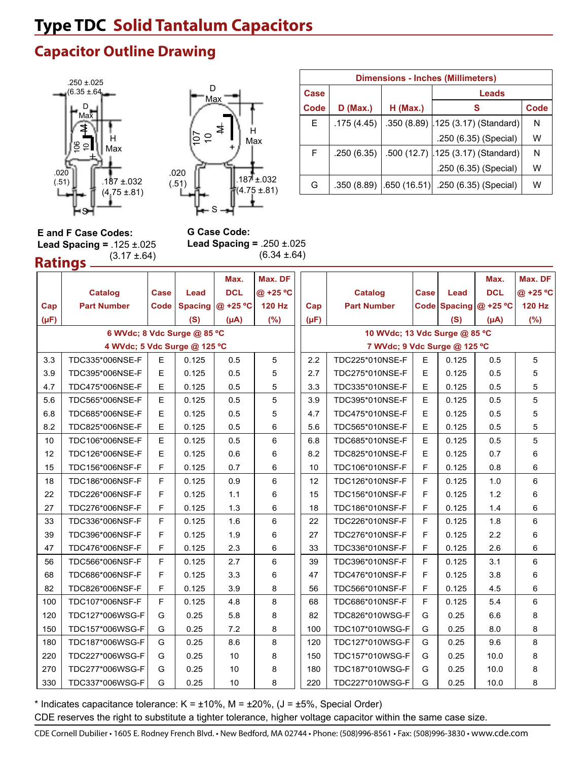# **Type TDC Solid Tantalum Capacitors**

### **Capacitor Outline Drawing**





| <b>Dimensions - Inches (Millimeters)</b> |            |                |                                    |      |  |  |  |  |  |
|------------------------------------------|------------|----------------|------------------------------------|------|--|--|--|--|--|
| <b>Case</b>                              |            |                | Leads                              |      |  |  |  |  |  |
| Code                                     | $D$ (Max.) | $H$ (Max.)     | s                                  | Code |  |  |  |  |  |
| E.                                       | .175(4.45) |                | .350 (8.89) 125 (3.17) (Standard)  | N    |  |  |  |  |  |
|                                          |            |                | .250 (6.35) (Special)              | W    |  |  |  |  |  |
| F                                        | .250(6.35) |                | .500 (12.7) .125 (3.17) (Standard) | N    |  |  |  |  |  |
|                                          |            |                | .250 (6.35) (Special)              | W    |  |  |  |  |  |
| G                                        | .350(8.89) | $-.650(16.51)$ | .250 (6.35) (Special)              | w    |  |  |  |  |  |

**Ratings E and F Case Codes: Lead Spacing =** .125 ±.025  $(3.17 \pm 64)$ 

**G Case Code: Lead Spacing =** .250 ±.025 (6.34 ±.64)

|           |                              |             |                | Max.       | Max. DF       |           |                               |      |       | Max.                     | Max. DF       |  |  |  |
|-----------|------------------------------|-------------|----------------|------------|---------------|-----------|-------------------------------|------|-------|--------------------------|---------------|--|--|--|
|           | <b>Catalog</b>               | <b>Case</b> | Lead           | <b>DCL</b> | @ +25 °C      |           | <b>Catalog</b>                | Case | Lead  | <b>DCL</b>               | @ +25 °C      |  |  |  |
| Cap       | <b>Part Number</b>           | Code        | <b>Spacing</b> | @ +25 °C   | <b>120 Hz</b> | Cap       | <b>Part Number</b>            |      |       | Code Spacing $@ + 25 °C$ | <b>120 Hz</b> |  |  |  |
| $(\mu F)$ |                              |             | (S)            | $(\mu A)$  | $(\% )$       | $(\mu F)$ |                               |      | (S)   | $(\mu A)$                | (%)           |  |  |  |
|           | 6 WVdc; 8 Vdc Surge @ 85 °C  |             |                |            |               |           | 10 WVdc; 13 Vdc Surge @ 85 °C |      |       |                          |               |  |  |  |
|           | 4 WVdc; 5 Vdc Surge @ 125 °C |             |                |            |               |           | 7 WVdc; 9 Vdc Surge @ 125 °C  |      |       |                          |               |  |  |  |
| 3.3       | TDC335*006NSE-F              | E           | 0.125          | 0.5        | 5             | 2.2       | TDC225*010NSE-F               | E    | 0.125 | 0.5                      | 5             |  |  |  |
| 3.9       | TDC395*006NSE-F              | E           | 0.125          | 0.5        | 5             | 2.7       | TDC275*010NSE-F               | E    | 0.125 | 0.5                      | 5             |  |  |  |
| 4.7       | TDC475*006NSE-F              | E           | 0.125          | 0.5        | 5             | 3.3       | TDC335*010NSE-F               | E    | 0.125 | 0.5                      | 5             |  |  |  |
| 5.6       | TDC565*006NSE-F              | E           | 0.125          | 0.5        | 5             | 3.9       | TDC395*010NSE-F               | E    | 0.125 | 0.5                      | 5             |  |  |  |
| 6.8       | TDC685*006NSE-F              | E           | 0.125          | 0.5        | 5             | 4.7       | TDC475*010NSE-F               | E    | 0.125 | 0.5                      | 5             |  |  |  |
| 8.2       | TDC825*006NSE-F              | E           | 0.125          | 0.5        | 6             | 5.6       | TDC565*010NSE-F               | E    | 0.125 | 0.5                      | 5             |  |  |  |
| 10        | TDC106*006NSE-F              | E           | 0.125          | 0.5        | 6             | 6.8       | TDC685*010NSE-F               | E    | 0.125 | 0.5                      | 5             |  |  |  |
| 12        | TDC126*006NSE-F              | E           | 0.125          | 0.6        | 6             | 8.2       | TDC825*010NSE-F               | E    | 0.125 | 0.7                      | 6             |  |  |  |
| 15        | TDC156*006NSF-F              | F           | 0.125          | 0.7        | 6             | 10        | TDC106*010NSF-F               | F    | 0.125 | 0.8                      | 6             |  |  |  |
| 18        | TDC186*006NSF-F              | F.          | 0.125          | 0.9        | 6             | 12        | TDC126*010NSF-F               | F    | 0.125 | 1.0                      | 6             |  |  |  |
| 22        | TDC226*006NSF-F              | F           | 0.125          | 1.1        | 6             | 15        | TDC156*010NSF-F               | F    | 0.125 | $1.2$                    | 6             |  |  |  |
| 27        | TDC276*006NSF-F              | F.          | 0.125          | 1.3        | 6             | 18        | TDC186*010NSF-F               | F    | 0.125 | 1.4                      | 6             |  |  |  |
| 33        | TDC336*006NSF-F              | F.          | 0.125          | 1.6        | 6             | 22        | TDC226*010NSF-F               | F.   | 0.125 | 1.8                      | 6             |  |  |  |
| 39        | TDC396*006NSF-F              | F.          | 0.125          | 1.9        | 6             | 27        | TDC276*010NSF-F               | F    | 0.125 | 2.2                      | 6             |  |  |  |
| 47        | TDC476*006NSF-F              | F           | 0.125          | 2.3        | 6             | 33        | TDC336*010NSF-F               | F    | 0.125 | 2.6                      | 6             |  |  |  |
| 56        | TDC566*006NSF-F              | F           | 0.125          | 2.7        | 6             | 39        | TDC396*010NSF-F               | F.   | 0.125 | 3.1                      | 6             |  |  |  |
| 68        | TDC686*006NSF-F              | F           | 0.125          | 3.3        | 6             | 47        | TDC476*010NSF-F               | F    | 0.125 | 3.8                      | 6             |  |  |  |
| 82        | TDC826*006NSF-F              | F.          | 0.125          | 3.9        | 8             | 56        | TDC566*010NSF-F               | F    | 0.125 | 4.5                      | 6             |  |  |  |
| 100       | TDC107*006NSF-F              | F.          | 0.125          | 4.8        | 8             | 68        | TDC686*010NSF-F               | F.   | 0.125 | 5.4                      | 6             |  |  |  |
| 120       | TDC127*006WSG-F              | G           | 0.25           | 5.8        | 8             | 82        | TDC826*010WSG-F               | G    | 0.25  | 6.6                      | 8             |  |  |  |
| 150       | TDC157*006WSG-F              | G           | 0.25           | 7.2        | 8             | 100       | TDC107*010WSG-F               | G    | 0.25  | 8.0                      | 8             |  |  |  |
| 180       | TDC187*006WSG-F              | G           | 0.25           | 8.6        | 8             | 120       | TDC127*010WSG-F               | G    | 0.25  | 9.6                      | 8             |  |  |  |
| 220       | TDC227*006WSG-F              | G           | 0.25           | 10         | 8             | 150       | TDC157*010WSG-F               | G    | 0.25  | 10.0                     | 8             |  |  |  |
| 270       | TDC277*006WSG-F              | G           | 0.25           | 10         | 8             | 180       | TDC187*010WSG-F               | G    | 0.25  | 10.0                     | 8             |  |  |  |
| 330       | TDC337*006WSG-F              | G           | 0.25           | 10         | 8             | 220       | TDC227*010WSG-F               | G    | 0.25  | 10.0                     | 8             |  |  |  |

\* Indicates capacitance tolerance:  $K = \pm 10\%$ ,  $M = \pm 20\%$ ,  $J = \pm 5\%$ , Special Order)

CDE reserves the right to substitute a tighter tolerance, higher voltage capacitor within the same case size.

CDE Cornell Dubilier • 1605 E. Rodney French Blvd. • New Bedford, MA 02744 • Phone: (508)996-8561 • Fax: (508)996-3830 • www.cde.com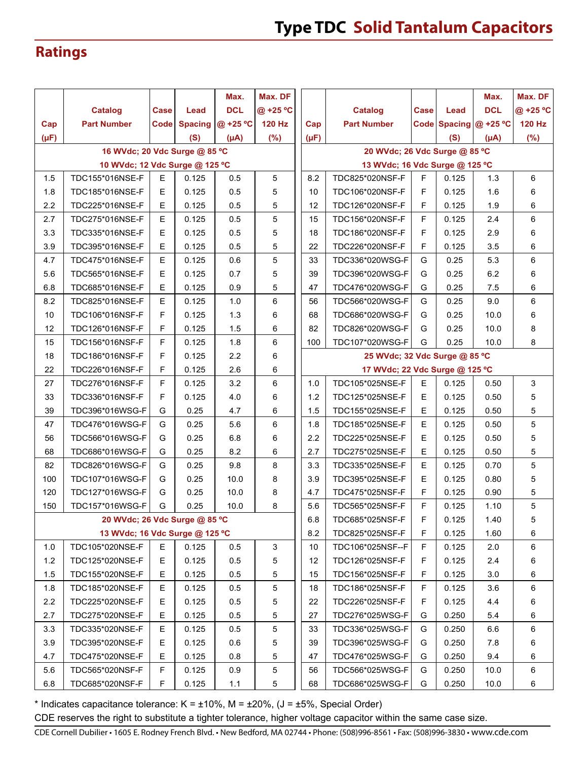## **Ratings**

|           |                                |             |                | Max.       | Max. DF       |                                |                               |                                |             |       | Max.                     | Max. DF       |
|-----------|--------------------------------|-------------|----------------|------------|---------------|--------------------------------|-------------------------------|--------------------------------|-------------|-------|--------------------------|---------------|
|           | <b>Catalog</b>                 | Case        | Lead           | <b>DCL</b> | @ +25 °C      |                                |                               | <b>Catalog</b>                 | Case        | Lead  | <b>DCL</b>               | @ +25 °C      |
| Cap       | <b>Part Number</b>             | <b>Code</b> | <b>Spacing</b> | @ +25 °C   | <b>120 Hz</b> |                                | Cap                           | <b>Part Number</b>             |             |       | Code Spacing $@ + 25 °C$ | <b>120 Hz</b> |
| $(\mu F)$ |                                |             | (S)            | $(\mu A)$  | (%)           |                                | $(\mu F)$                     |                                |             | (S)   | $(\mu A)$                | (%)           |
|           | 16 WVdc; 20 Vdc Surge @ 85 °C  |             |                |            |               |                                |                               | 20 WVdc; 26 Vdc Surge @ 85 °C  |             |       |                          |               |
|           | 10 WVdc; 12 Vdc Surge @ 125 °C |             |                |            |               |                                |                               | 13 WVdc; 16 Vdc Surge @ 125 °C |             |       |                          |               |
| 1.5       | TDC155*016NSE-F                | E.          | 0.125          | 0.5        | 5             |                                | 8.2                           | TDC825*020NSF-F                | F.          | 0.125 | 1.3                      | 6             |
| 1.8       | TDC185*016NSE-F                | E           | 0.125          | 0.5        | 5             |                                | 10                            | TDC106*020NSF-F                | $\mathsf F$ | 0.125 | 1.6                      | 6             |
| 2.2       | TDC225*016NSE-F                | E           | 0.125          | 0.5        | 5             |                                | 12                            | TDC126*020NSF-F                | F           | 0.125 | 1.9                      | 6             |
| 2.7       | TDC275*016NSE-F                | E           | 0.125          | 0.5        | 5             |                                | 15                            | TDC156*020NSF-F                | F           | 0.125 | 2.4                      | 6             |
| 3.3       | TDC335*016NSE-F                | $\mathsf E$ | 0.125          | 0.5        | 5             |                                | 18                            | TDC186*020NSF-F                | $\mathsf F$ | 0.125 | 2.9                      | 6             |
| 3.9       | TDC395*016NSE-F                | $\mathsf E$ | 0.125          | 0.5        | 5             |                                | 22                            | TDC226*020NSF-F                | F           | 0.125 | 3.5                      | 6             |
| 4.7       | TDC475*016NSE-F                | E           | 0.125          | 0.6        | 5             |                                | 33                            | TDC336*020WSG-F                | G           | 0.25  | 5.3                      | 6             |
| 5.6       | TDC565*016NSE-F                | E           | 0.125          | 0.7        | 5             |                                | 39                            | TDC396*020WSG-F                | G           | 0.25  | 6.2                      | 6             |
| 6.8       | TDC685*016NSE-F                | E           | 0.125          | 0.9        | 5             |                                | 47                            | TDC476*020WSG-F                | G           | 0.25  | 7.5                      | 6             |
| 8.2       | TDC825*016NSE-F                | E           | 0.125          | 1.0        | 6             |                                | 56                            | TDC566*020WSG-F                | G           | 0.25  | 9.0                      | 6             |
| 10        | TDC106*016NSF-F                | F           | 0.125          | 1.3        | 6             |                                | 68                            | TDC686*020WSG-F                | G           | 0.25  | 10.0                     | 6             |
| 12        | TDC126*016NSF-F                | F           | 0.125          | 1.5        | 6             |                                | 82                            | TDC826*020WSG-F                | G           | 0.25  | 10.0                     | 8             |
| 15        | TDC156*016NSF-F                | F           | 0.125          | 1.8        | 6             |                                | 100                           | TDC107*020WSG-F                | G           | 0.25  | 10.0                     | 8             |
| 18        | TDC186*016NSF-F                | F           | 0.125          | 2.2        | 6             |                                | 25 WVdc; 32 Vdc Surge @ 85 °C |                                |             |       |                          |               |
| 22        | TDC226*016NSF-F                | F           | 0.125          | 2.6        | 6             | 17 WVdc; 22 Vdc Surge @ 125 °C |                               |                                |             |       |                          |               |
| 27        | TDC276*016NSF-F                | F           | 0.125          | 3.2        | 6             |                                | 1.0                           | TDC105*025NSE-F                | E.          | 0.125 | 0.50                     | 3             |
| 33        | TDC336*016NSF-F                | F           | 0.125          | 4.0        | 6             |                                | 1.2                           | TDC125*025NSE-F                | E           | 0.125 | 0.50                     | $\sqrt{5}$    |
| 39        | TDC396*016WSG-F                | G           | 0.25           | 4.7        | 6             |                                | 1.5                           | TDC155*025NSE-F                | E           | 0.125 | 0.50                     | 5             |
| 47        | TDC476*016WSG-F                | G           | 0.25           | 5.6        | 6             |                                | 1.8                           | TDC185*025NSE-F                | E           | 0.125 | 0.50                     | 5             |
| 56        | TDC566*016WSG-F                | G           | 0.25           | 6.8        | 6             |                                | 2.2                           | TDC225*025NSE-F                | E           | 0.125 | 0.50                     | 5             |
| 68        | TDC686*016WSG-F                | G           | 0.25           | 8.2        | 6             |                                | 2.7                           | TDC275*025NSE-F                | E           | 0.125 | 0.50                     | 5             |
| 82        | TDC826*016WSG-F                | G           | 0.25           | 9.8        | 8             |                                | 3.3                           | TDC335*025NSE-F                | E           | 0.125 | 0.70                     | 5             |
| 100       | TDC107*016WSG-F                | G           | 0.25           | 10.0       | 8             |                                | 3.9                           | TDC395*025NSE-F                | E           | 0.125 | 0.80                     | 5             |
| 120       | TDC127*016WSG-F                | G           | 0.25           | 10.0       | 8             |                                | 4.7                           | TDC475*025NSF-F                | F           | 0.125 | 0.90                     | 5             |
| 150       | TDC157*016WSG-F                | G           | 0.25           | 10.0       | 8             |                                | 5.6                           | TDC565*025NSF-F                | F           | 0.125 | 1.10                     | 5             |
|           | 20 WVdc; 26 Vdc Surge @ 85 °C  |             |                |            |               |                                | 6.8                           | TDC685*025NSF-F                | F           | 0.125 | 1.40                     | 5             |
|           | 13 WVdc; 16 Vdc Surge @ 125 °C |             |                |            |               |                                | 8.2                           | TDC825*025NSF-F                | F           | 0.125 | 1.60                     | 6             |
| 1.0       | TDC105*020NSE-F                | Е           | 0.125          | 0.5        | $\mathbf{3}$  |                                | 10                            | TDC106*025NSF--F               | F           | 0.125 | 2.0                      | 6             |
| $1.2$     | TDC125*020NSE-F                | E           | 0.125          | 0.5        | 5             |                                | 12                            | TDC126*025NSF-F                | F           | 0.125 | 2.4                      | 6             |
| 1.5       | TDC155*020NSE-F                | E           | 0.125          | 0.5        | 5             |                                | 15                            | TDC156*025NSF-F                | F           | 0.125 | 3.0                      | 6             |
| 1.8       | TDC185*020NSE-F                | E           | 0.125          | 0.5        | 5             |                                | 18                            | TDC186*025NSF-F                | F           | 0.125 | 3.6                      | 6             |
| 2.2       | TDC225*020NSE-F                | Е           | 0.125          | 0.5        | 5             |                                | 22                            | TDC226*025NSF-F                | F           | 0.125 | 4.4                      | 6             |
| 2.7       | TDC275*020NSE-F                | E           | 0.125          | 0.5        | 5             |                                | 27                            | TDC276*025WSG-F                | G           | 0.250 | 5.4                      | 6             |
| 3.3       | TDC335*020NSE-F                | Е           | 0.125          | 0.5        | 5             |                                | 33                            | TDC336*025WSG-F                | G           | 0.250 | 6.6                      | 6             |
| 3.9       | TDC395*020NSE-F                | Е           | 0.125          | 0.6        | 5             |                                | 39                            | TDC396*025WSG-F                | G           | 0.250 | 7.8                      | 6             |
| 4.7       | TDC475*020NSE-F                | E           | 0.125          | 0.8        | 5             |                                | 47                            | TDC476*025WSG-F                | G           | 0.250 | 9.4                      | 6             |
| 5.6       | TDC565*020NSF-F                | F           | 0.125          | 0.9        | 5             |                                | 56                            | TDC566*025WSG-F                | G           | 0.250 | 10.0                     | 6             |
| 6.8       | TDC685*020NSF-F                | F           | 0.125          | $1.1$      | 5             |                                | 68                            | TDC686*025WSG-F                | G           | 0.250 | 10.0                     | 6             |

\* Indicates capacitance tolerance:  $K = \pm 10\%$ ,  $M = \pm 20\%$ ,  $(J = \pm 5\%$ , Special Order)

CDE reserves the right to substitute a tighter tolerance, higher voltage capacitor within the same case size.

CDE Cornell Dubilier • 1605 E. Rodney French Blvd. • New Bedford, MA 02744 • Phone: (508)996-8561 • Fax: (508)996-3830 • www.cde.com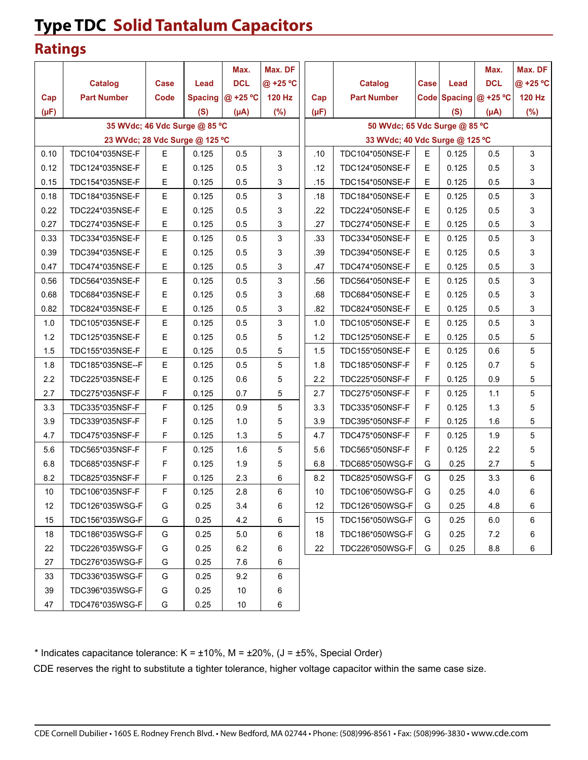# **Type TDC Solid Tantalum Capacitors**

#### **Ratings**

|           |                                |             |                | Max.       | Max. DF  |                 |                                |   |       | Max.                     | Max. DF       |
|-----------|--------------------------------|-------------|----------------|------------|----------|-----------------|--------------------------------|---|-------|--------------------------|---------------|
|           | <b>Catalog</b>                 | <b>Case</b> | Lead           | <b>DCL</b> | @ +25 °C |                 | <b>Catalog</b>                 |   | Lead  | <b>DCL</b>               | @ +25 °C      |
| Cap       | <b>Part Number</b>             | Code        | <b>Spacing</b> | @ +25 °C   | 120 Hz   | Cap             | <b>Part Number</b>             |   |       | Code Spacing $@ + 25 °C$ | <b>120 Hz</b> |
| $(\mu F)$ |                                |             | (S)            | $(\mu A)$  | (%)      | $(\mu F)$       |                                |   | (S)   | $(\mu A)$                | (%)           |
|           | 35 WVdc; 46 Vdc Surge @ 85 °C  |             |                |            |          |                 | 50 WVdc; 65 Vdc Surge @ 85 °C  |   |       |                          |               |
|           | 23 WVdc; 28 Vdc Surge @ 125 °C |             |                |            |          |                 | 33 WVdc; 40 Vdc Surge @ 125 °C |   |       |                          |               |
| 0.10      | TDC104*035NSE-F                | E           | 0.125          | 0.5        | 3        | .10             | TDC104*050NSE-F                | E | 0.125 | 0.5                      | 3             |
| 0.12      | TDC124*035NSE-F                | E           | 0.125          | 0.5        | 3        | .12             | TDC124*050NSE-F                | E | 0.125 | 0.5                      | 3             |
| 0.15      | TDC154*035NSE-F                | E           | 0.125          | 0.5        | 3        | .15             | TDC154*050NSE-F                | Е | 0.125 | 0.5                      | 3             |
| 0.18      | TDC184*035NSE-F                | E           | 0.125          | 0.5        | 3        | .18             | TDC184*050NSE-F                | Е | 0.125 | 0.5                      | $\mathbf{3}$  |
| 0.22      | TDC224*035NSE-F                | Ε           | 0.125          | 0.5        | 3        | .22             | TDC224*050NSE-F                | E | 0.125 | 0.5                      | 3             |
| 0.27      | TDC274*035NSE-F                | E           | 0.125          | 0.5        | 3        | .27             | TDC274*050NSE-F                | E | 0.125 | 0.5                      | 3             |
| 0.33      | TDC334*035NSE-F                | Е           | 0.125          | 0.5        | 3        | .33             | TDC334*050NSE-F                | E | 0.125 | 0.5                      | 3             |
| 0.39      | TDC394*035NSE-F                | E           | 0.125          | 0.5        | 3        | .39             | TDC394*050NSE-F                | E | 0.125 | 0.5                      | 3             |
| 0.47      | TDC474*035NSE-F                | Ε           | 0.125          | 0.5        | 3        | .47             | TDC474*050NSE-F                | E | 0.125 | 0.5                      | 3             |
| 0.56      | TDC564*035NSE-F                | E           | 0.125          | 0.5        | 3        | .56             | TDC564*050NSE-F                | Е | 0.125 | 0.5                      | 3             |
| 0.68      | TDC684*035NSE-F                | Ε           | 0.125          | 0.5        | 3        | .68             | TDC684*050NSE-F                | E | 0.125 | 0.5                      | 3             |
| 0.82      | TDC824*035NSE-F                | E           | 0.125          | 0.5        | 3        | .82             | TDC824*050NSE-F                | E | 0.125 | 0.5                      | 3             |
| 1.0       | TDC105*035NSE-F                | E           | 0.125          | 0.5        | 3        | 1.0             | TDC105*050NSE-F                | Ε | 0.125 | 0.5                      | 3             |
| 1.2       | TDC125*035NSE-F                | Ε           | 0.125          | 0.5        | 5        | 1.2             | TDC125*050NSE-F                | E | 0.125 | 0.5                      | 5             |
| 1.5       | TDC155*035NSE-F                | E           | 0.125          | 0.5        | 5        | 1.5             | TDC155*050NSE-F                | E | 0.125 | 0.6                      | 5             |
| 1.8       | TDC185*035NSE--F               | Е           | 0.125          | 0.5        | 5        | 1.8             | TDC185*050NSF-F                | F | 0.125 | 0.7                      | 5             |
| 2.2       | TDC225*035NSE-F                | E           | 0.125          | 0.6        | 5        | 2.2             | TDC225*050NSF-F                | F | 0.125 | 0.9                      | 5             |
| 2.7       | TDC275*035NSF-F                | F           | 0.125          | 0.7        | 5        | 2.7             | TDC275*050NSF-F                | F | 0.125 | 1.1                      | 5             |
| 3.3       | TDC335*035NSF-F                | F           | 0.125          | 0.9        | 5        | 3.3             | TDC335*050NSF-F                | F | 0.125 | 1.3                      | 5             |
| 3.9       | TDC339*035NSF-F                | F           | 0.125          | 1.0        | 5        | 3.9             | TDC395*050NSF-F                | F | 0.125 | 1.6                      | 5             |
| 4.7       | TDC475*035NSF-F                | F           | 0.125          | 1.3        | 5        | 4.7             | TDC475*050NSF-F                | F | 0.125 | 1.9                      | 5             |
| 5.6       | TDC565*035NSF-F                | F           | 0.125          | 1.6        | 5        | 5.6             | TDC565*050NSF-F                | F | 0.125 | 2.2                      | 5             |
| 6.8       | TDC685*035NSF-F                | F           | 0.125          | 1.9        | 5        | 6.8             | TDC685*050WSG-F                | G | 0.25  | 2.7                      | 5             |
| 8.2       | TDC825*035NSF-F                | F           | 0.125          | 2.3        | 6        | 8.2             | TDC825*050WSG-F                | G | 0.25  | 3.3                      | 6             |
| 10        | TDC106*035NSF-F                | $\mathsf F$ | 0.125          | 2.8        | 6        | 10 <sub>1</sub> | TDC106*050WSG-F                | G | 0.25  | 4.0                      | 6             |
| 12        | TDC126*035WSG-F                | G           | 0.25           | 3.4        | 6        | 12              | TDC126*050WSG-F                | G | 0.25  | 4.8                      | 6             |
| 15        | TDC156*035WSG-F                | G           | 0.25           | 4.2        | 6        | 15              | TDC156*050WSG-F                | G | 0.25  | 6.0                      | 6             |
| 18        | TDC186*035WSG-F                | G           | 0.25           | 5.0        | 6        | 18              | TDC186*050WSG-F                | G | 0.25  | 7.2                      | 6             |
| 22        | TDC226*035WSG-F                | G           | 0.25           | $6.2\,$    | 6        | 22              | TDC226*050WSG-F                | G | 0.25  | 8.8                      | 6             |
| 27        | TDC276*035WSG-F                | G           | 0.25           | 7.6        | 6        |                 |                                |   |       |                          |               |
| 33        | TDC336*035WSG-F                | G           | 0.25           | 9.2        | 6        |                 |                                |   |       |                          |               |
| 39        | TDC396*035WSG-F                | G           | 0.25           | $10$       | 6        |                 |                                |   |       |                          |               |
| 47        | TDC476*035WSG-F                | G           | 0.25           | $10$       | 6        |                 |                                |   |       |                          |               |

\* Indicates capacitance tolerance:  $K = \pm 10\%$ ,  $M = \pm 20\%$ ,  $J = \pm 5\%$ , Special Order)

CDE reserves the right to substitute a tighter tolerance, higher voltage capacitor within the same case size.